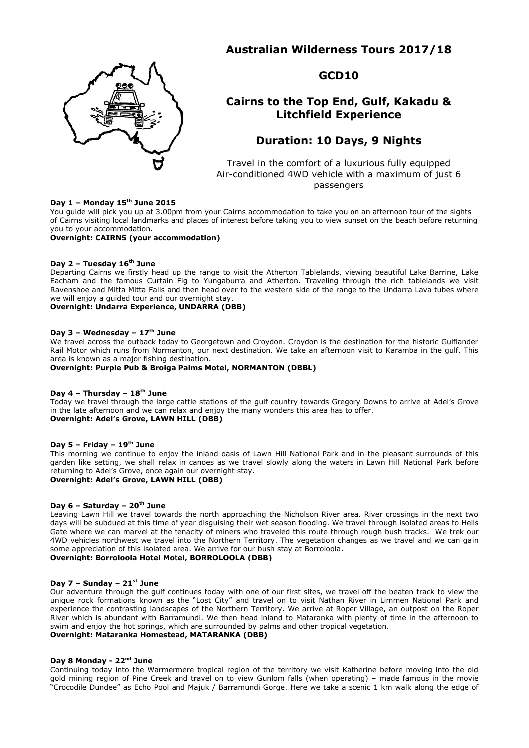# **Australian Wilderness Tours 2017/18**



**GCD10**

# **Cairns to the Top End, Gulf, Kakadu & Litchfield Experience**

# **Duration: 10 Days, 9 Nights**

Travel in the comfort of a luxurious fully equipped Air-conditioned 4WD vehicle with a maximum of just 6 passengers

### **Day 1 – Monday 15th June 2015**

You guide will pick you up at 3.00pm from your Cairns accommodation to take you on an afternoon tour of the sights of Cairns visiting local landmarks and places of interest before taking you to view sunset on the beach before returning you to your accommodation.

## **Overnight: CAIRNS (your accommodation)**

### **Day 2 – Tuesday 16th June**

Departing Cairns we firstly head up the range to visit the Atherton Tablelands, viewing beautiful Lake Barrine, Lake Eacham and the famous Curtain Fig to Yungaburra and Atherton. Traveling through the rich tablelands we visit Ravenshoe and Mitta Mitta Falls and then head over to the western side of the range to the Undarra Lava tubes where we will enjoy a guided tour and our overnight stay.

#### **Overnight: Undarra Experience, UNDARRA (DBB)**

#### **Day 3 – Wednesday – 17th June**

We travel across the outback today to Georgetown and Croydon. Croydon is the destination for the historic Gulflander Rail Motor which runs from Normanton, our next destination. We take an afternoon visit to Karamba in the gulf. This area is known as a major fishing destination.

**Overnight: Purple Pub & Brolga Palms Motel, NORMANTON (DBBL)**

#### **Day 4 – Thursday – 18th June**

Today we travel through the large cattle stations of the gulf country towards Gregory Downs to arrive at Adel's Grove in the late afternoon and we can relax and enjoy the many wonders this area has to offer. **Overnight: Adel's Grove, LAWN HILL (DBB)**

#### **Day 5 – Friday – 19th June**

This morning we continue to enjoy the inland oasis of Lawn Hill National Park and in the pleasant surrounds of this garden like setting, we shall relax in canoes as we travel slowly along the waters in Lawn Hill National Park before returning to Adel's Grove, once again our overnight stay.

## **Overnight: Adel's Grove, LAWN HILL (DBB)**

#### **Day 6 – Saturday – 20th June**

Leaving Lawn Hill we travel towards the north approaching the Nicholson River area. River crossings in the next two days will be subdued at this time of year disguising their wet season flooding. We travel through isolated areas to Hells Gate where we can marvel at the tenacity of miners who traveled this route through rough bush tracks. We trek our 4WD vehicles northwest we travel into the Northern Territory. The vegetation changes as we travel and we can gain some appreciation of this isolated area. We arrive for our bush stay at Borroloola.

#### **Overnight: Borroloola Hotel Motel, BORROLOOLA (DBB)**

#### **Day 7 – Sunday – 21st June**

Our adventure through the gulf continues today with one of our first sites, we travel off the beaten track to view the unique rock formations known as the "Lost City" and travel on to visit Nathan River in Limmen National Park and experience the contrasting landscapes of the Northern Territory. We arrive at Roper Village, an outpost on the Roper River which is abundant with Barramundi. We then head inland to Mataranka with plenty of time in the afternoon to swim and enjoy the hot springs, which are surrounded by palms and other tropical vegetation. **Overnight: Mataranka Homestead, MATARANKA (DBB)**

#### **Day 8 Monday - 22nd June**

Continuing today into the Warmermere tropical region of the territory we visit Katherine before moving into the old gold mining region of Pine Creek and travel on to view Gunlom falls (when operating) – made famous in the movie "Crocodile Dundee" as Echo Pool and Majuk / Barramundi Gorge. Here we take a scenic 1 km walk along the edge of